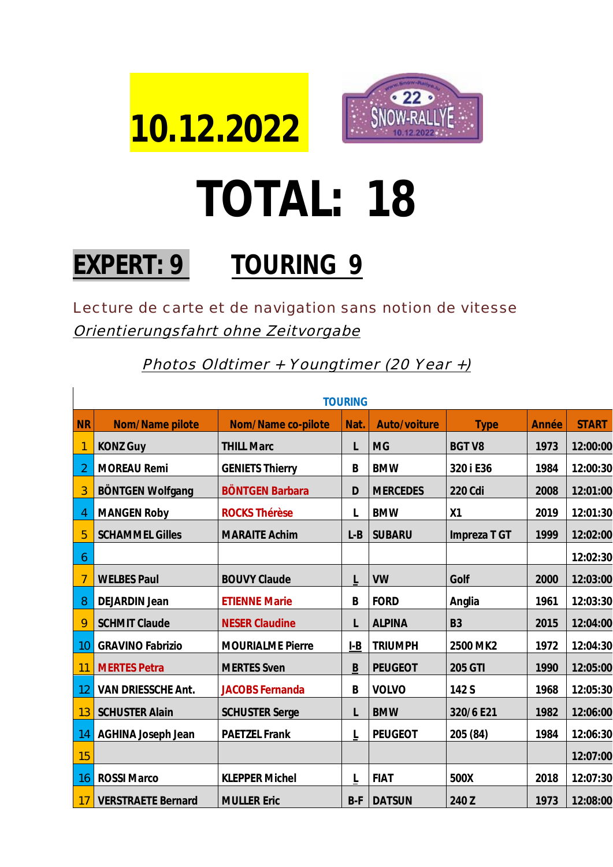



## **TOTAL: 18**

## **EXPERT: 9 TOURING 9**

Lecture de carte et de navigation sans notion de vitesse Orientierungsfahrt ohne Zeitvorgabe

Photos Oldtimer + Youngtimer (20 Year +)

| <b>TOURING</b> |                           |                         |       |                 |                |       |              |
|----------------|---------------------------|-------------------------|-------|-----------------|----------------|-------|--------------|
| <b>NR</b>      | Nom/Name pilote           | Nom/Name co-pilote      | Nat.  | Auto/voiture    | <b>Type</b>    | Année | <b>START</b> |
| 1              | <b>KONZ Guy</b>           | <b>THILL Marc</b>       | L     | <b>MG</b>       | <b>BGT V8</b>  | 1973  | 12:00:00     |
| $\overline{2}$ | <b>MOREAU Remi</b>        | <b>GENIETS Thierry</b>  | B     | <b>BMW</b>      | 320 i E36      | 1984  | 12:00:30     |
| 3              | <b>BÖNTGEN Wolfgang</b>   | <b>BÖNTGEN Barbara</b>  | D     | <b>MERCEDES</b> | 220 Cdi        | 2008  | 12:01:00     |
| 4              | <b>MANGEN Roby</b>        | <b>ROCKS Thérèse</b>    |       | <b>BMW</b>      | X1             | 2019  | 12:01:30     |
| 5              | <b>SCHAMMEL Gilles</b>    | <b>MARAITE Achim</b>    | $L-B$ | <b>SUBARU</b>   | Impreza T GT   | 1999  | 12:02:00     |
| 6              |                           |                         |       |                 |                |       | 12:02:30     |
| 7              | <b>WELBES Paul</b>        | <b>BOUVY Claude</b>     | L     | <b>VW</b>       | Golf           | 2000  | 12:03:00     |
| 8              | <b>DEJARDIN Jean</b>      | <b>ETIENNE Marie</b>    | B     | <b>FORD</b>     | Anglia         | 1961  | 12:03:30     |
| 9              | <b>SCHMIT Claude</b>      | <b>NESER Claudine</b>   | L     | <b>ALPINA</b>   | B <sub>3</sub> | 2015  | 12:04:00     |
| 10             | <b>GRAVINO Fabrizio</b>   | <b>MOURIALME Pierre</b> | $I-B$ | <b>TRIUMPH</b>  | 2500 MK2       | 1972  | 12:04:30     |
| 11             | <b>MERTES Petra</b>       | <b>MERTES Sven</b>      | B     | <b>PEUGEOT</b>  | 205 GTI        | 1990  | 12:05:00     |
| 12             | VAN DRIESSCHE Ant.        | <b>JACOBS Fernanda</b>  | B     | <b>VOLVO</b>    | 142 S          | 1968  | 12:05:30     |
| 13             | <b>SCHUSTER Alain</b>     | <b>SCHUSTER Serge</b>   | L     | <b>BMW</b>      | 320/6 E21      | 1982  | 12:06:00     |
| 14             | AGHINA Joseph Jean        | <b>PAETZEL Frank</b>    | L     | <b>PEUGEOT</b>  | 205 (84)       | 1984  | 12:06:30     |
| 15             |                           |                         |       |                 |                |       | 12:07:00     |
| 16             | <b>ROSSI Marco</b>        | <b>KLEPPER Michel</b>   | L     | <b>FIAT</b>     | 500X           | 2018  | 12:07:30     |
| 17             | <b>VERSTRAETE Bernard</b> | <b>MULLER Eric</b>      | $B-F$ | <b>DATSUN</b>   | 240 Z          | 1973  | 12:08:00     |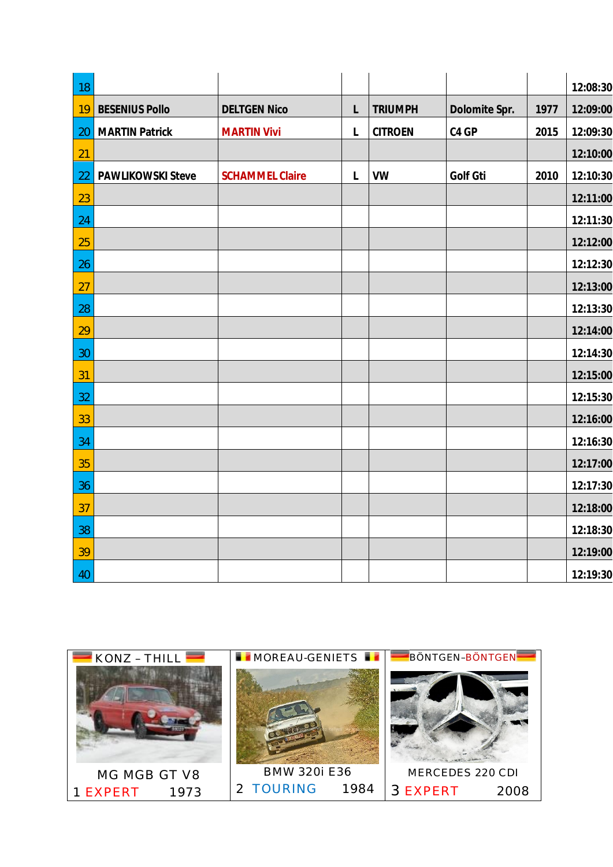| 18 |                       |                        |              |                |               |      | 12:08:30 |
|----|-----------------------|------------------------|--------------|----------------|---------------|------|----------|
| 19 | <b>BESENIUS Pollo</b> | <b>DELTGEN Nico</b>    | L            | <b>TRIUMPH</b> | Dolomite Spr. | 1977 | 12:09:00 |
| 20 | <b>MARTIN Patrick</b> | <b>MARTIN Vivi</b>     | $\mathsf{L}$ | <b>CITROEN</b> | C4 GP         | 2015 | 12:09:30 |
| 21 |                       |                        |              |                |               |      | 12:10:00 |
| 22 | PAWLIKOWSKI Steve     | <b>SCHAMMEL Claire</b> | L            | <b>VW</b>      | Golf Gti      | 2010 | 12:10:30 |
| 23 |                       |                        |              |                |               |      | 12:11:00 |
| 24 |                       |                        |              |                |               |      | 12:11:30 |
| 25 |                       |                        |              |                |               |      | 12:12:00 |
| 26 |                       |                        |              |                |               |      | 12:12:30 |
| 27 |                       |                        |              |                |               |      | 12:13:00 |
| 28 |                       |                        |              |                |               |      | 12:13:30 |
| 29 |                       |                        |              |                |               |      | 12:14:00 |
| 30 |                       |                        |              |                |               |      | 12:14:30 |
| 31 |                       |                        |              |                |               |      | 12:15:00 |
| 32 |                       |                        |              |                |               |      | 12:15:30 |
| 33 |                       |                        |              |                |               |      | 12:16:00 |
| 34 |                       |                        |              |                |               |      | 12:16:30 |
| 35 |                       |                        |              |                |               |      | 12:17:00 |
| 36 |                       |                        |              |                |               |      | 12:17:30 |
| 37 |                       |                        |              |                |               |      | 12:18:00 |
| 38 |                       |                        |              |                |               |      | 12:18:30 |
| 39 |                       |                        |              |                |               |      | 12:19:00 |
| 40 |                       |                        |              |                |               |      | 12:19:30 |

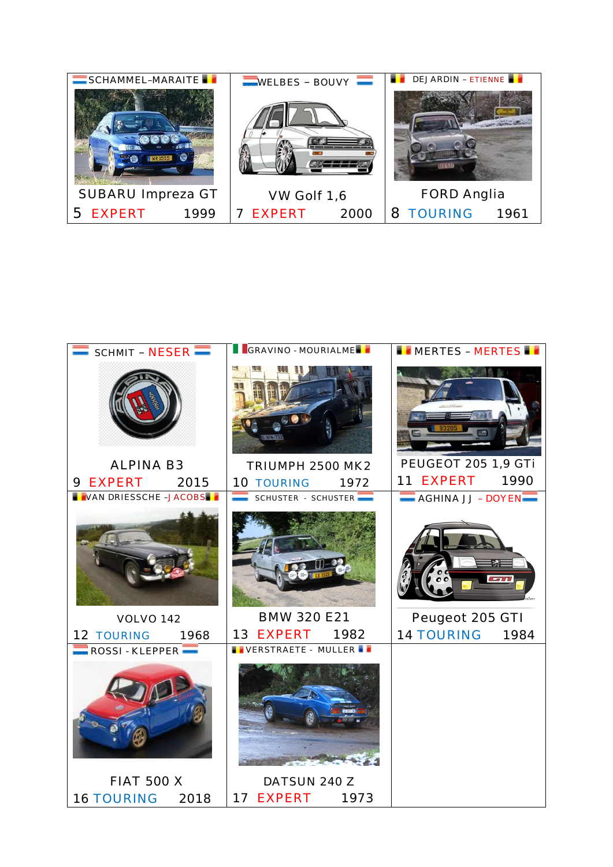